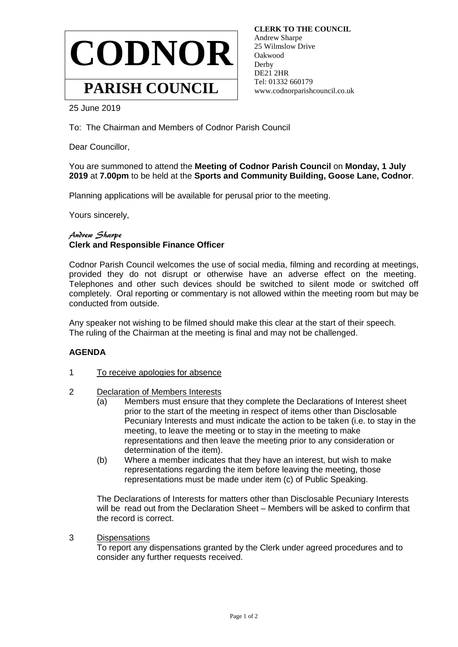

 **CLERK TO THE COUNCIL** Andrew Sharpe 25 Wilmslow Drive Oakwood Derby DE21 2HR Tel: 01332 660179 www.codnorparishcouncil.co.uk

25 June 2019

To: The Chairman and Members of Codnor Parish Council

Dear Councillor,

You are summoned to attend the **Meeting of Codnor Parish Council** on **Monday, 1 July 2019** at **7.00pm** to be held at the **Sports and Community Building, Goose Lane, Codnor**.

Planning applications will be available for perusal prior to the meeting.

Yours sincerely,

## Andrew Sharpe **Clerk and Responsible Finance Officer**

Codnor Parish Council welcomes the use of social media, filming and recording at meetings, provided they do not disrupt or otherwise have an adverse effect on the meeting. Telephones and other such devices should be switched to silent mode or switched off completely. Oral reporting or commentary is not allowed within the meeting room but may be conducted from outside.

Any speaker not wishing to be filmed should make this clear at the start of their speech. The ruling of the Chairman at the meeting is final and may not be challenged.

## **AGENDA**

- 1 To receive apologies for absence
- 2 Declaration of Members Interests
	- (a) Members must ensure that they complete the Declarations of Interest sheet prior to the start of the meeting in respect of items other than Disclosable Pecuniary Interests and must indicate the action to be taken (i.e. to stay in the meeting, to leave the meeting or to stay in the meeting to make representations and then leave the meeting prior to any consideration or determination of the item).
	- (b) Where a member indicates that they have an interest, but wish to make representations regarding the item before leaving the meeting, those representations must be made under item (c) of Public Speaking.

The Declarations of Interests for matters other than Disclosable Pecuniary Interests will be read out from the Declaration Sheet – Members will be asked to confirm that the record is correct.

3 Dispensations

To report any dispensations granted by the Clerk under agreed procedures and to consider any further requests received.